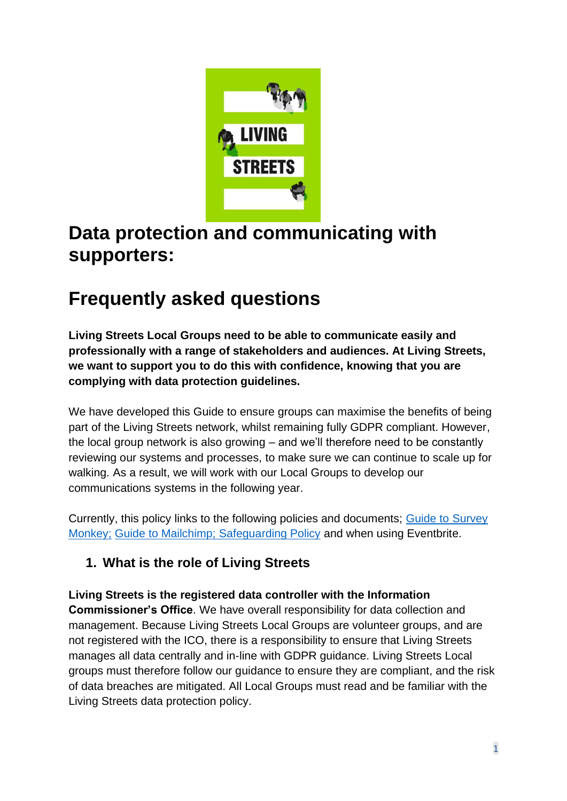

# **Data protection and communicating with supporters:**

# **Frequently asked questions**

**Living Streets Local Groups need to be able to communicate easily and professionally with a range of stakeholders and audiences. At Living Streets, we want to support you to do this with confidence, knowing that you are complying with data protection guidelines.**

We have developed this Guide to ensure groups can maximise the benefits of being part of the Living Streets network, whilst remaining fully GDPR compliant. However, the local group network is also growing – and we'll therefore need to be constantly reviewing our systems and processes, to make sure we can continue to scale up for walking. As a result, we will work with our Local Groups to develop our communications systems in the following year.

Currently, this policy links to the following policies and documents; [Guide to Survey](https://www.livingstreets.org.uk/media/6965/how-to-create-a-survey.pdf)  [Monkey;](https://www.livingstreets.org.uk/media/6965/how-to-create-a-survey.pdf) [Guide to Mailchimp;](https://www.livingstreets.org.uk/media/6980/a_guide_to_using_mailchimp.pdf) [Safeguarding Policy](https://www.livingstreets.org.uk/media/4609/safeguarding-policy-sept-2019-for-website-and-staff-handbook.pdf) and when using Eventbrite.

## **1. What is the role of Living Streets**

**Living Streets is the registered data controller with the Information Commissioner's Office**. We have overall responsibility for data collection and management. Because Living Streets Local Groups are volunteer groups, and are not registered with the ICO, there is a responsibility to ensure that Living Streets manages all data centrally and in-line with GDPR guidance. Living Streets Local groups must therefore follow our guidance to ensure they are compliant, and the risk of data breaches are mitigated. All Local Groups must read and be familiar with the Living Streets data protection policy.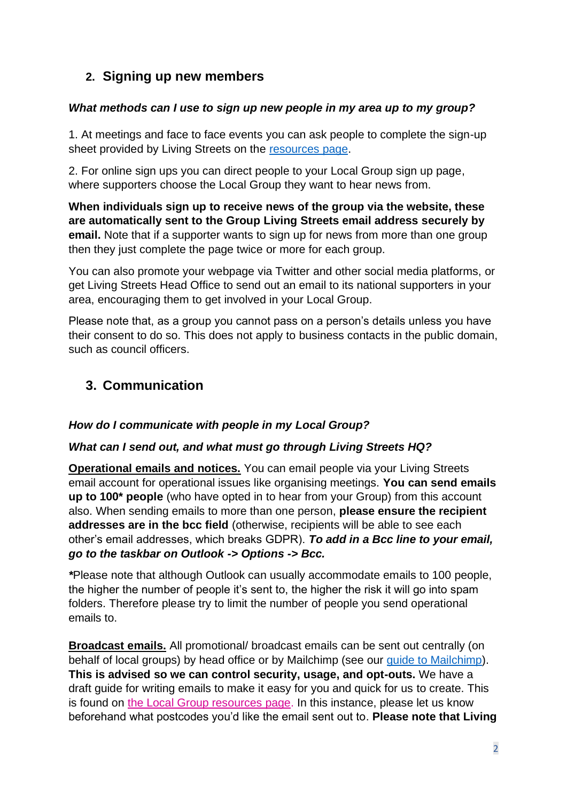## **2. Signing up new members**

#### *What methods can I use to sign up new people in my area up to my group?*

1. At meetings and face to face events you can ask people to complete the sign-up sheet provided by Living Streets on the [resources page.](https://www.livingstreets.org.uk/about-us/our-organisation/local-group-resources)

2. For online sign ups you can direct people to your Local Group sign up page, where supporters choose the Local Group they want to hear news from.

**When individuals sign up to receive news of the group via the website, these are automatically sent to the Group Living Streets email address securely by email.** Note that if a supporter wants to sign up for news from more than one group then they just complete the page twice or more for each group.

You can also promote your webpage via Twitter and other social media platforms, or get Living Streets Head Office to send out an email to its national supporters in your area, encouraging them to get involved in your Local Group.

Please note that, as a group you cannot pass on a person's details unless you have their consent to do so. This does not apply to business contacts in the public domain, such as council officers.

### **3. Communication**

#### *How do I communicate with people in my Local Group?*

#### *What can I send out, and what must go through Living Streets HQ?*

**Operational emails and notices.** You can email people via your Living Streets email account for operational issues like organising meetings. **You can send emails up to 100\* people** (who have opted in to hear from your Group) from this account also. When sending emails to more than one person, **please ensure the recipient addresses are in the bcc field** (otherwise, recipients will be able to see each other's email addresses, which breaks GDPR). *To add in a Bcc line to your email, go to the taskbar on Outlook -> Options -> Bcc.*

*\**Please note that although Outlook can usually accommodate emails to 100 people, the higher the number of people it's sent to, the higher the risk it will go into spam folders. Therefore please try to limit the number of people you send operational emails to.

**Broadcast emails.** All promotional/ broadcast emails can be sent out centrally (on behalf of local groups) by head office or by Mailchimp (see our [guide to Mailchimp\)](https://www.livingstreets.org.uk/media/6980/a_guide_to_using_mailchimp.pdf). **This is advised so we can control security, usage, and opt-outs.** We have a draft guide for writing emails to make it easy for you and quick for us to create. This is found on [the Local Group resources page.](https://www.livingstreets.org.uk/about-us/our-organisation/local-group-resources) In this instance, please let us know beforehand what postcodes you'd like the email sent out to. **Please note that Living**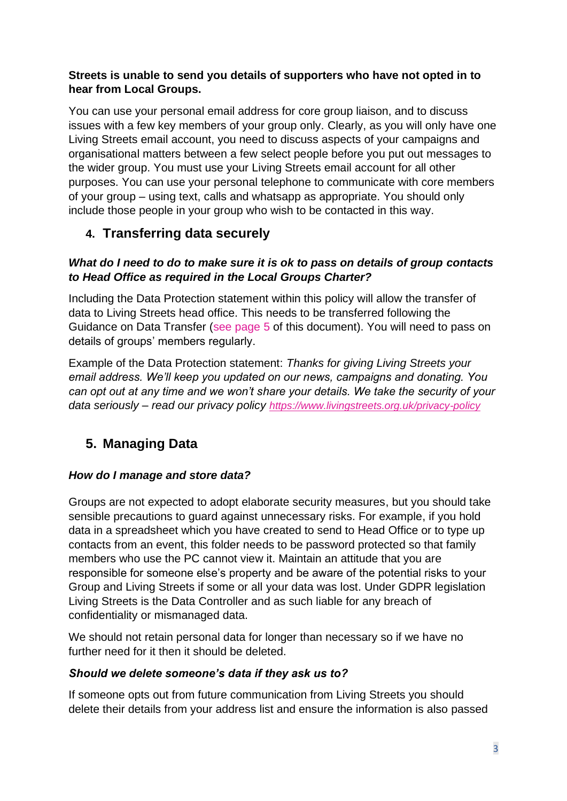#### **Streets is unable to send you details of supporters who have not opted in to hear from Local Groups.**

You can use your personal email address for core group liaison, and to discuss issues with a few key members of your group only. Clearly, as you will only have one Living Streets email account, you need to discuss aspects of your campaigns and organisational matters between a few select people before you put out messages to the wider group. You must use your Living Streets email account for all other purposes. You can use your personal telephone to communicate with core members of your group – using text, calls and whatsapp as appropriate. You should only include those people in your group who wish to be contacted in this way.

### **4. Transferring data securely**

#### *What do I need to do to make sure it is ok to pass on details of group contacts to Head Office as required in the Local Groups Charter?*

Including the Data Protection statement within this policy will allow the transfer of data to Living Streets head office. This needs to be transferred following the Guidance on Data Transfer (see page 5 of this document). You will need to pass on details of groups' members regularly.

Example of the Data Protection statement: *Thanks for giving Living Streets your email address. We'll keep you updated on our news, campaigns and donating. You can opt out at any time and we won't share your details. We take the security of your data seriously – read our privacy policy <https://www.livingstreets.org.uk/privacy-policy>*

## **5. Managing Data**

#### *How do I manage and store data?*

Groups are not expected to adopt elaborate security measures, but you should take sensible precautions to guard against unnecessary risks. For example, if you hold data in a spreadsheet which you have created to send to Head Office or to type up contacts from an event, this folder needs to be password protected so that family members who use the PC cannot view it. Maintain an attitude that you are responsible for someone else's property and be aware of the potential risks to your Group and Living Streets if some or all your data was lost. Under GDPR legislation Living Streets is the Data Controller and as such liable for any breach of confidentiality or mismanaged data.

We should not retain personal data for longer than necessary so if we have no further need for it then it should be deleted.

#### *Should we delete someone's data if they ask us to?*

If someone opts out from future communication from Living Streets you should delete their details from your address list and ensure the information is also passed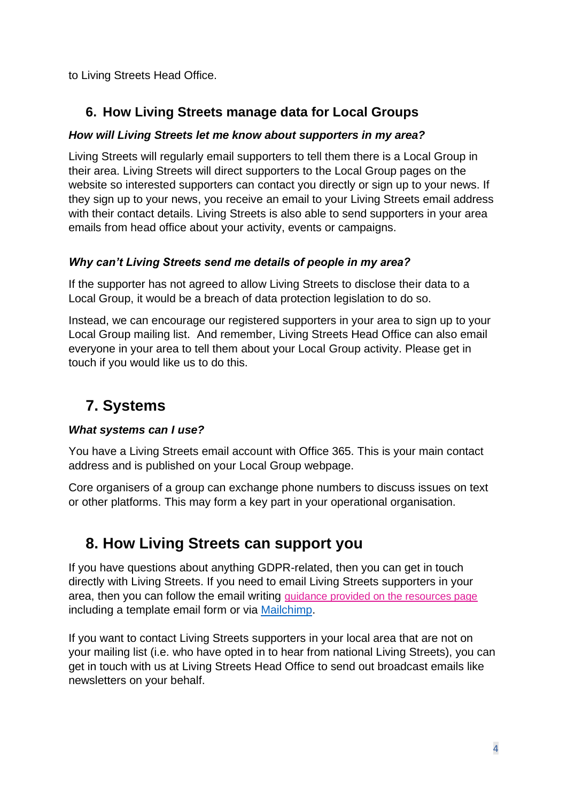to Living Streets Head Office.

## **6. How Living Streets manage data for Local Groups**

#### *How will Living Streets let me know about supporters in my area?*

Living Streets will regularly email supporters to tell them there is a Local Group in their area. Living Streets will direct supporters to the Local Group pages on the website so interested supporters can contact you directly or sign up to your news. If they sign up to your news, you receive an email to your Living Streets email address with their contact details. Living Streets is also able to send supporters in your area emails from head office about your activity, events or campaigns.

#### *Why can't Living Streets send me details of people in my area?*

If the supporter has not agreed to allow Living Streets to disclose their data to a Local Group, it would be a breach of data protection legislation to do so.

Instead, we can encourage our registered supporters in your area to sign up to your Local Group mailing list. And remember, Living Streets Head Office can also email everyone in your area to tell them about your Local Group activity. Please get in touch if you would like us to do this.

# **7. Systems**

#### *What systems can I use?*

You have a Living Streets email account with Office 365. This is your main contact address and is published on your Local Group webpage.

Core organisers of a group can exchange phone numbers to discuss issues on text or other platforms. This may form a key part in your operational organisation.

# **8. How Living Streets can support you**

If you have questions about anything GDPR-related, then you can get in touch directly with Living Streets. If you need to email Living Streets supporters in your area, then you can follow the email writing [guidance provided on the resources page](https://www.livingstreets.org.uk/about-us/our-organisation/local-group-resources) including a template email form or via [Mailchimp.](https://www.livingstreets.org.uk/media/6980/a_guide_to_using_mailchimp.pdf)

If you want to contact Living Streets supporters in your local area that are not on your mailing list (i.e. who have opted in to hear from national Living Streets), you can get in touch with us at Living Streets Head Office to send out broadcast emails like newsletters on your behalf.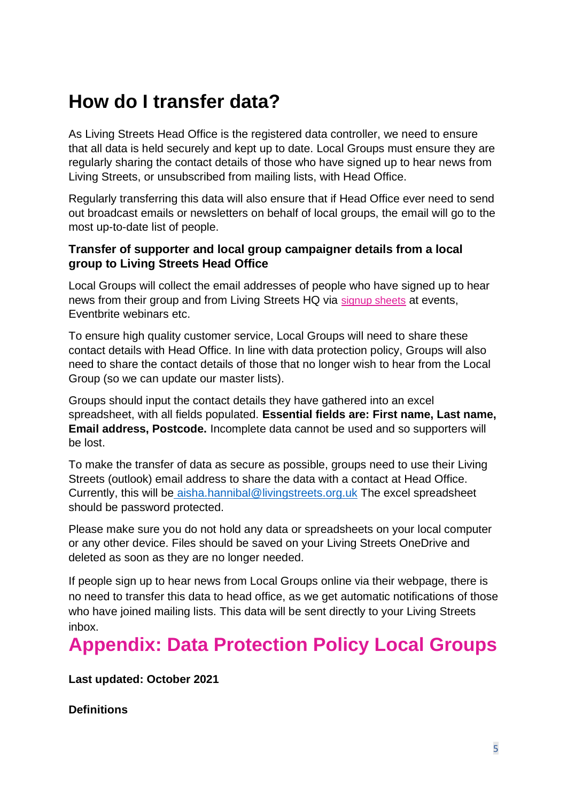# **How do I transfer data?**

As Living Streets Head Office is the registered data controller, we need to ensure that all data is held securely and kept up to date. Local Groups must ensure they are regularly sharing the contact details of those who have signed up to hear news from Living Streets, or unsubscribed from mailing lists, with Head Office.

Regularly transferring this data will also ensure that if Head Office ever need to send out broadcast emails or newsletters on behalf of local groups, the email will go to the most up-to-date list of people.

#### **Transfer of supporter and local group campaigner details from a local group to Living Streets Head Office**

Local Groups will collect the email addresses of people who have signed up to hear news from their group and from Living Streets HQ via [signup sheets](https://www.livingstreets.org.uk/media/4683/enews-sign-up-form-edited-oct-2019.pdf) at events, Eventbrite webinars etc.

To ensure high quality customer service, Local Groups will need to share these contact details with Head Office. In line with data protection policy, Groups will also need to share the contact details of those that no longer wish to hear from the Local Group (so we can update our master lists).

Groups should input the contact details they have gathered into an excel spreadsheet, with all fields populated. **Essential fields are: First name, Last name, Email address, Postcode.** Incomplete data cannot be used and so supporters will be lost.

To make the transfer of data as secure as possible, groups need to use their Living Streets (outlook) email address to share the data with a contact at Head Office. Currently, this will be [aisha.hannibal@livingstreets.org.uk](mailto:aisha.hannibal@livingstreets.org.uk) The excel spreadsheet should be password protected.

Please make sure you do not hold any data or spreadsheets on your local computer or any other device. Files should be saved on your Living Streets OneDrive and deleted as soon as they are no longer needed.

If people sign up to hear news from Local Groups online via their webpage, there is no need to transfer this data to head office, as we get automatic notifications of those who have joined mailing lists. This data will be sent directly to your Living Streets inbox.

# **Appendix: Data Protection Policy Local Groups**

**Last updated: October 2021**

**Definitions**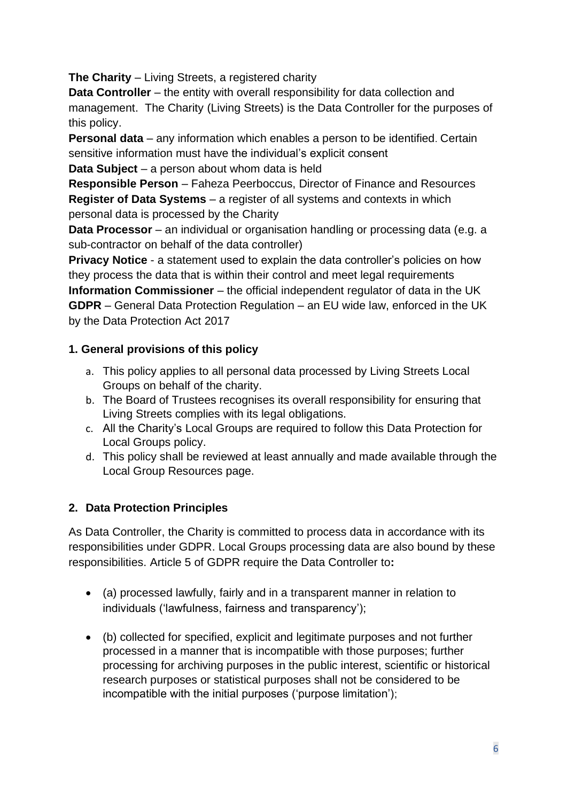**The Charity** – Living Streets, a registered charity

**Data Controller** – the entity with overall responsibility for data collection and management. The Charity (Living Streets) is the Data Controller for the purposes of this policy.

**Personal data** – any information which enables a person to be identified. Certain sensitive information must have the individual's explicit consent

**Data Subject** – a person about whom data is held

**Responsible Person** – Faheza Peerboccus, Director of Finance and Resources **Register of Data Systems** – a register of all systems and contexts in which personal data is processed by the Charity

**Data Processor** – an individual or organisation handling or processing data (e.g. a sub-contractor on behalf of the data controller)

**Privacy Notice** - a statement used to explain the data controller's policies on how they process the data that is within their control and meet legal requirements **Information Commissioner** – the official independent regulator of data in the UK **GDPR** – General Data Protection Regulation – an EU wide law, enforced in the UK by the Data Protection Act 2017

### **1. General provisions of this policy**

- a. This policy applies to all personal data processed by Living Streets Local Groups on behalf of the charity.
- b. The Board of Trustees recognises its overall responsibility for ensuring that Living Streets complies with its legal obligations.
- c. All the Charity's Local Groups are required to follow this Data Protection for Local Groups policy.
- d. This policy shall be reviewed at least annually and made available through the Local Group Resources page.

## **2. Data Protection Principles**

As Data Controller, the Charity is committed to process data in accordance with its responsibilities under GDPR. Local Groups processing data are also bound by these responsibilities. Article 5 of GDPR require the Data Controller to**:**

- (a) processed lawfully, fairly and in a transparent manner in relation to individuals ('lawfulness, fairness and transparency');
- (b) collected for specified, explicit and legitimate purposes and not further processed in a manner that is incompatible with those purposes; further processing for archiving purposes in the public interest, scientific or historical research purposes or statistical purposes shall not be considered to be incompatible with the initial purposes ('purpose limitation');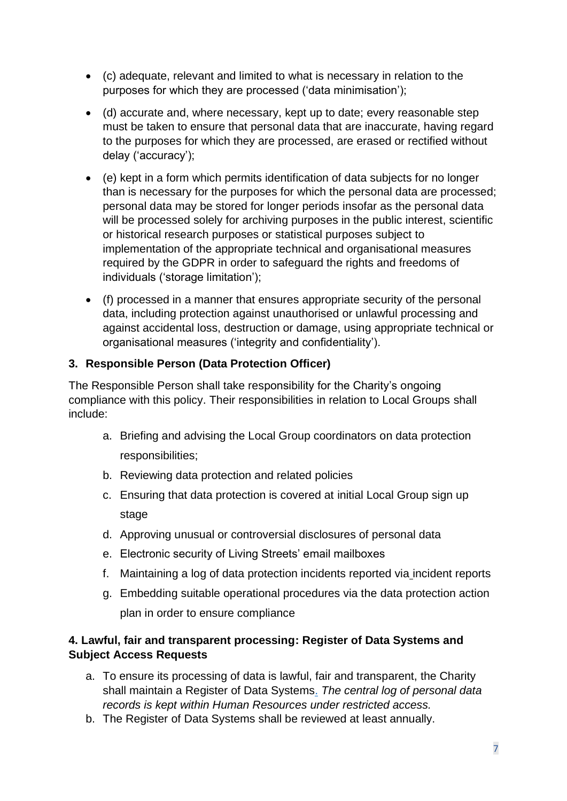- (c) adequate, relevant and limited to what is necessary in relation to the purposes for which they are processed ('data minimisation');
- (d) accurate and, where necessary, kept up to date; every reasonable step must be taken to ensure that personal data that are inaccurate, having regard to the purposes for which they are processed, are erased or rectified without delay ('accuracy');
- (e) kept in a form which permits identification of data subjects for no longer than is necessary for the purposes for which the personal data are processed; personal data may be stored for longer periods insofar as the personal data will be processed solely for archiving purposes in the public interest, scientific or historical research purposes or statistical purposes subject to implementation of the appropriate technical and organisational measures required by the GDPR in order to safeguard the rights and freedoms of individuals ('storage limitation');
- (f) processed in a manner that ensures appropriate security of the personal data, including protection against unauthorised or unlawful processing and against accidental loss, destruction or damage, using appropriate technical or organisational measures ('integrity and confidentiality').

#### **3. Responsible Person (Data Protection Officer)**

The Responsible Person shall take responsibility for the Charity's ongoing compliance with this policy. Their responsibilities in relation to Local Groups shall include:

- a. Briefing and advising the Local Group coordinators on data protection responsibilities;
- b. Reviewing data protection and related policies
- c. Ensuring that data protection is covered at initial Local Group sign up stage
- d. Approving unusual or controversial disclosures of personal data
- e. Electronic security of Living Streets' email mailboxes
- f. Maintaining a log of data protection incidents reported via incident reports
- g. Embedding suitable operational procedures via the data protection action plan in order to ensure compliance

#### **4. Lawful, fair and transparent processing: Register of Data Systems and Subject Access Requests**

- a. To ensure its processing of data is lawful, fair and transparent, the Charity shall maintain a Register of Data Systems. *The central log of personal data records is kept within Human Resources under restricted access.*
- b. The Register of Data Systems shall be reviewed at least annually.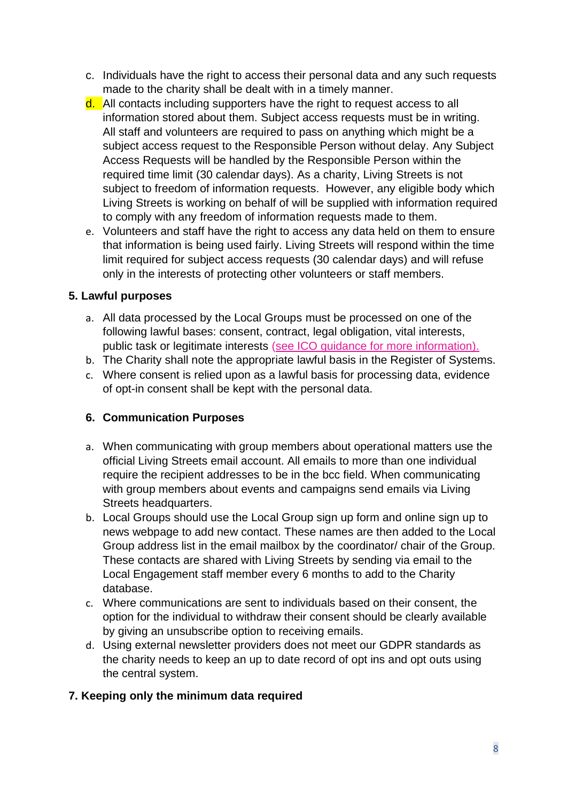- c. Individuals have the right to access their personal data and any such requests made to the charity shall be dealt with in a timely manner.
- d. All contacts including supporters have the right to request access to all information stored about them. Subject access requests must be in writing. All staff and volunteers are required to pass on anything which might be a subject access request to the Responsible Person without delay. Any Subject Access Requests will be handled by the Responsible Person within the required time limit (30 calendar days). As a charity, Living Streets is not subject to freedom of information requests. However, any eligible body which Living Streets is working on behalf of will be supplied with information required to comply with any freedom of information requests made to them.
- e. Volunteers and staff have the right to access any data held on them to ensure that information is being used fairly. Living Streets will respond within the time limit required for subject access requests (30 calendar days) and will refuse only in the interests of protecting other volunteers or staff members.

#### **5. Lawful purposes**

- a. All data processed by the Local Groups must be processed on one of the following lawful bases: consent, contract, legal obligation, vital interests, public task or legitimate interests [\(see ICO guidance for more information\)](https://ico.org.uk/for-organisations/guide-to-the-general-data-protection-regulation-gdpr/lawful-basis-for-processing/).
- b. The Charity shall note the appropriate lawful basis in the Register of Systems.
- c. Where consent is relied upon as a lawful basis for processing data, evidence of opt-in consent shall be kept with the personal data.

#### **6. Communication Purposes**

- a. When communicating with group members about operational matters use the official Living Streets email account. All emails to more than one individual require the recipient addresses to be in the bcc field. When communicating with group members about events and campaigns send emails via Living Streets headquarters.
- b. Local Groups should use the Local Group sign up form and online sign up to news webpage to add new contact. These names are then added to the Local Group address list in the email mailbox by the coordinator/ chair of the Group. These contacts are shared with Living Streets by sending via email to the Local Engagement staff member every 6 months to add to the Charity database.
- c. Where communications are sent to individuals based on their consent, the option for the individual to withdraw their consent should be clearly available by giving an unsubscribe option to receiving emails.
- d. Using external newsletter providers does not meet our GDPR standards as the charity needs to keep an up to date record of opt ins and opt outs using the central system.

#### **7. Keeping only the minimum data required**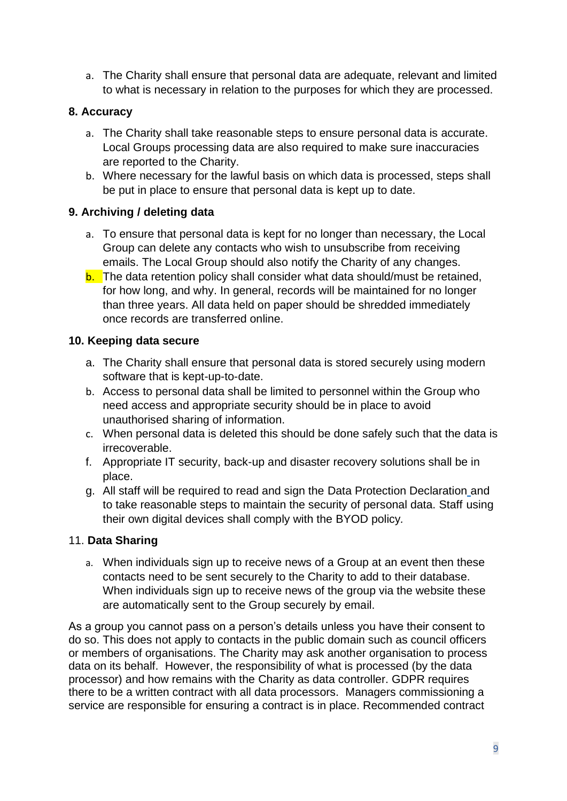a. The Charity shall ensure that personal data are adequate, relevant and limited to what is necessary in relation to the purposes for which they are processed.

#### **8. Accuracy**

- a. The Charity shall take reasonable steps to ensure personal data is accurate. Local Groups processing data are also required to make sure inaccuracies are reported to the Charity.
- b. Where necessary for the lawful basis on which data is processed, steps shall be put in place to ensure that personal data is kept up to date.

#### **9. Archiving / deleting data**

- a. To ensure that personal data is kept for no longer than necessary, the Local Group can delete any contacts who wish to unsubscribe from receiving emails. The Local Group should also notify the Charity of any changes.
- b. The data retention policy shall consider what data should/must be retained, for how long, and why. In general, records will be maintained for no longer than three years. All data held on paper should be shredded immediately once records are transferred online.

#### **10. Keeping data secure**

- a. The Charity shall ensure that personal data is stored securely using modern software that is kept-up-to-date.
- b. Access to personal data shall be limited to personnel within the Group who need access and appropriate security should be in place to avoid unauthorised sharing of information.
- c. When personal data is deleted this should be done safely such that the data is irrecoverable.
- f. Appropriate IT security, back-up and disaster recovery solutions shall be in place.
- g. All staff will be required to read and sign the Data Protection Declaration and to take reasonable steps to maintain the security of personal data. Staff using their own digital devices shall comply with the BYOD policy*.*

#### 11. **Data Sharing**

a. When individuals sign up to receive news of a Group at an event then these contacts need to be sent securely to the Charity to add to their database. When individuals sign up to receive news of the group via the website these are automatically sent to the Group securely by email.

As a group you cannot pass on a person's details unless you have their consent to do so. This does not apply to contacts in the public domain such as council officers or members of organisations. The Charity may ask another organisation to process data on its behalf. However, the responsibility of what is processed (by the data processor) and how remains with the Charity as data controller. GDPR requires there to be a written contract with all data processors. Managers commissioning a service are responsible for ensuring a contract is in place. Recommended contract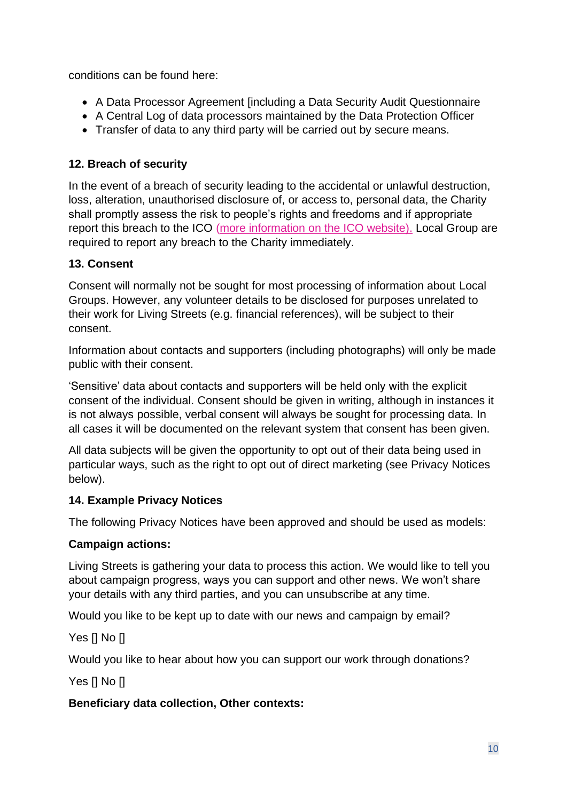conditions can be found here:

- A Data Processor Agreement [including a Data Security Audit Questionnaire
- A Central Log of data processors maintained by the Data Protection Officer
- Transfer of data to any third party will be carried out by secure means.

#### **12. Breach of security**

In the event of a breach of security leading to the accidental or unlawful destruction, loss, alteration, unauthorised disclosure of, or access to, personal data, the Charity shall promptly assess the risk to people's rights and freedoms and if appropriate report this breach to the ICO [\(more information on the ICO website\)](https://ico.org.uk/for-organisations/guide-to-the-general-data-protection-regulation-gdpr/personal-data-breaches/). Local Group are required to report any breach to the Charity immediately.

#### **13. Consent**

Consent will normally not be sought for most processing of information about Local Groups. However, any volunteer details to be disclosed for purposes unrelated to their work for Living Streets (e.g. financial references), will be subject to their consent.

Information about contacts and supporters (including photographs) will only be made public with their consent.

'Sensitive' data about contacts and supporters will be held only with the explicit consent of the individual. Consent should be given in writing, although in instances it is not always possible, verbal consent will always be sought for processing data. In all cases it will be documented on the relevant system that consent has been given.

All data subjects will be given the opportunity to opt out of their data being used in particular ways, such as the right to opt out of direct marketing (see Privacy Notices below).

#### **14. Example Privacy Notices**

The following Privacy Notices have been approved and should be used as models:

#### **Campaign actions:**

Living Streets is gathering your data to process this action. We would like to tell you about campaign progress, ways you can support and other news. We won't share your details with any third parties, and you can unsubscribe at any time.

Would you like to be kept up to date with our news and campaign by email?

Yes [] No []

Would you like to hear about how you can support our work through donations?

Yes [] No []

#### **Beneficiary data collection, Other contexts:**